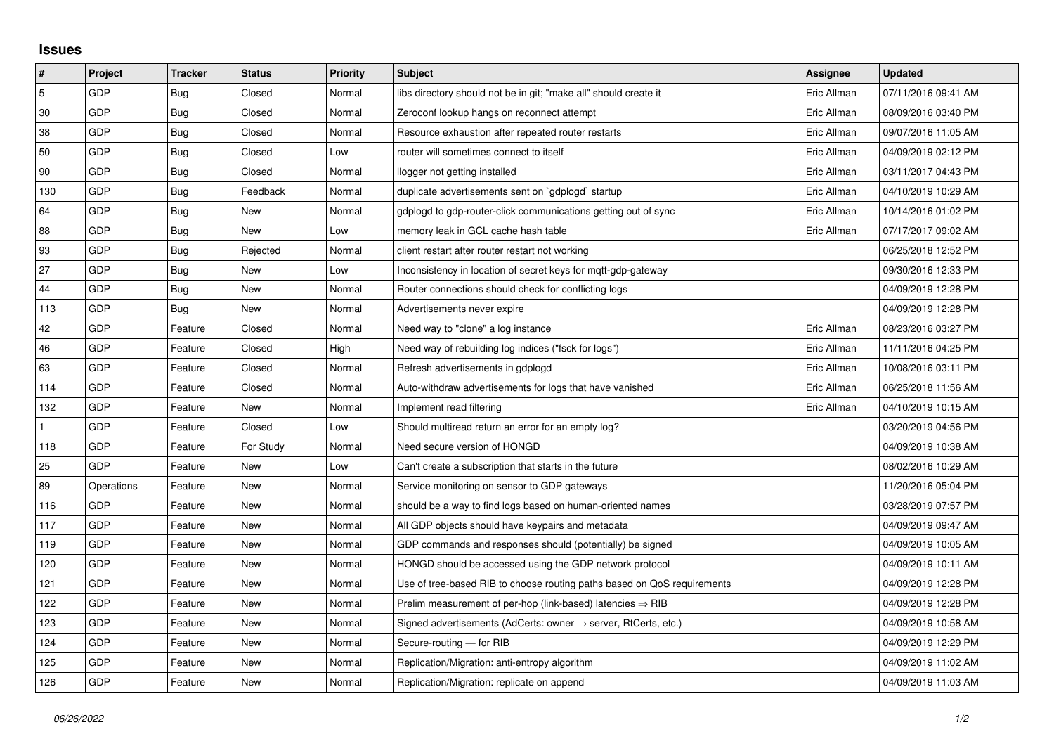## **Issues**

| #   | Project    | <b>Tracker</b> | <b>Status</b> | <b>Priority</b> | <b>Subject</b>                                                             | <b>Assignee</b> | <b>Updated</b>      |
|-----|------------|----------------|---------------|-----------------|----------------------------------------------------------------------------|-----------------|---------------------|
| 5   | GDP        | Bug            | Closed        | Normal          | libs directory should not be in git; "make all" should create it           | Eric Allman     | 07/11/2016 09:41 AM |
| 30  | GDP        | <b>Bug</b>     | Closed        | Normal          | Zeroconf lookup hangs on reconnect attempt                                 | Eric Allman     | 08/09/2016 03:40 PM |
| 38  | GDP        | Bug            | Closed        | Normal          | Resource exhaustion after repeated router restarts                         | Eric Allman     | 09/07/2016 11:05 AM |
| 50  | GDP        | <b>Bug</b>     | Closed        | Low             | router will sometimes connect to itself                                    | Eric Allman     | 04/09/2019 02:12 PM |
| 90  | GDP        | Bug            | Closed        | Normal          | llogger not getting installed                                              | Eric Allman     | 03/11/2017 04:43 PM |
| 130 | GDP        | Bug            | Feedback      | Normal          | duplicate advertisements sent on `gdplogd` startup                         | Eric Allman     | 04/10/2019 10:29 AM |
| 64  | GDP        | Bug            | New           | Normal          | gdplogd to gdp-router-click communications getting out of sync             | Eric Allman     | 10/14/2016 01:02 PM |
| 88  | GDP        | Bug            | New           | Low             | memory leak in GCL cache hash table                                        | Eric Allman     | 07/17/2017 09:02 AM |
| 93  | GDP        | Bug            | Rejected      | Normal          | client restart after router restart not working                            |                 | 06/25/2018 12:52 PM |
| 27  | GDP        | <b>Bug</b>     | New           | Low             | Inconsistency in location of secret keys for mgtt-gdp-gateway              |                 | 09/30/2016 12:33 PM |
| 44  | GDP        | Bug            | New           | Normal          | Router connections should check for conflicting logs                       |                 | 04/09/2019 12:28 PM |
| 113 | GDP        | Bug            | New           | Normal          | Advertisements never expire                                                |                 | 04/09/2019 12:28 PM |
| 42  | GDP        | Feature        | Closed        | Normal          | Need way to "clone" a log instance                                         | Eric Allman     | 08/23/2016 03:27 PM |
| 46  | GDP        | Feature        | Closed        | High            | Need way of rebuilding log indices ("fsck for logs")                       | Eric Allman     | 11/11/2016 04:25 PM |
| 63  | GDP        | Feature        | Closed        | Normal          | Refresh advertisements in gdplogd                                          | Eric Allman     | 10/08/2016 03:11 PM |
| 114 | GDP        | Feature        | Closed        | Normal          | Auto-withdraw advertisements for logs that have vanished                   | Eric Allman     | 06/25/2018 11:56 AM |
| 132 | GDP        | Feature        | New           | Normal          | Implement read filtering                                                   | Eric Allman     | 04/10/2019 10:15 AM |
|     | GDP        | Feature        | Closed        | Low             | Should multiread return an error for an empty log?                         |                 | 03/20/2019 04:56 PM |
| 118 | GDP        | Feature        | For Study     | Normal          | Need secure version of HONGD                                               |                 | 04/09/2019 10:38 AM |
| 25  | GDP        | Feature        | New           | Low             | Can't create a subscription that starts in the future                      |                 | 08/02/2016 10:29 AM |
| 89  | Operations | Feature        | New           | Normal          | Service monitoring on sensor to GDP gateways                               |                 | 11/20/2016 05:04 PM |
| 116 | GDP        | Feature        | New           | Normal          | should be a way to find logs based on human-oriented names                 |                 | 03/28/2019 07:57 PM |
| 117 | GDP        | Feature        | New           | Normal          | All GDP objects should have keypairs and metadata                          |                 | 04/09/2019 09:47 AM |
| 119 | GDP        | Feature        | New           | Normal          | GDP commands and responses should (potentially) be signed                  |                 | 04/09/2019 10:05 AM |
| 120 | GDP        | Feature        | New           | Normal          | HONGD should be accessed using the GDP network protocol                    |                 | 04/09/2019 10:11 AM |
| 121 | GDP        | Feature        | New           | Normal          | Use of tree-based RIB to choose routing paths based on QoS requirements    |                 | 04/09/2019 12:28 PM |
| 122 | GDP        | Feature        | New           | Normal          | Prelim measurement of per-hop (link-based) latencies $\Rightarrow$ RIB     |                 | 04/09/2019 12:28 PM |
| 123 | GDP        | Feature        | New           | Normal          | Signed advertisements (AdCerts: owner $\rightarrow$ server, RtCerts, etc.) |                 | 04/09/2019 10:58 AM |
| 124 | GDP        | Feature        | New           | Normal          | Secure-routing - for RIB                                                   |                 | 04/09/2019 12:29 PM |
| 125 | GDP        | Feature        | New           | Normal          | Replication/Migration: anti-entropy algorithm                              |                 | 04/09/2019 11:02 AM |
| 126 | GDP        | Feature        | New           | Normal          | Replication/Migration: replicate on append                                 |                 | 04/09/2019 11:03 AM |